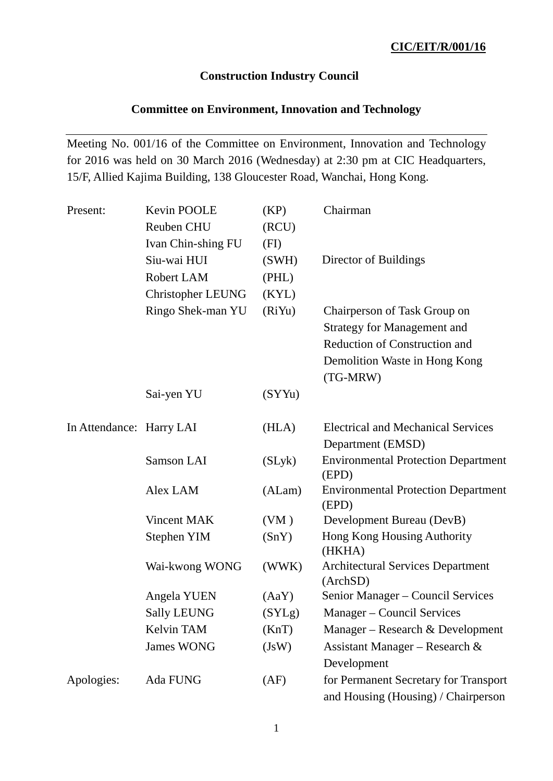## **Construction Industry Council**

## **Committee on Environment, Innovation and Technology**

Meeting No. 001/16 of the Committee on Environment, Innovation and Technology for 2016 was held on 30 March 2016 (Wednesday) at 2:30 pm at CIC Headquarters, 15/F, Allied Kajima Building, 138 Gloucester Road, Wanchai, Hong Kong.

| Present:                 | Kevin POOLE              | (KP)   | Chairman                                             |
|--------------------------|--------------------------|--------|------------------------------------------------------|
|                          | Reuben CHU               | (RCU)  |                                                      |
|                          | Ivan Chin-shing FU       | (FI)   |                                                      |
|                          | Siu-wai HUI              | (SWH)  | Director of Buildings                                |
|                          | Robert LAM               | (PHL)  |                                                      |
|                          | <b>Christopher LEUNG</b> | (KYL)  |                                                      |
|                          | Ringo Shek-man YU        | (RiYu) | Chairperson of Task Group on                         |
|                          |                          |        | <b>Strategy for Management and</b>                   |
|                          |                          |        | Reduction of Construction and                        |
|                          |                          |        | Demolition Waste in Hong Kong                        |
|                          |                          |        | (TG-MRW)                                             |
|                          | Sai-yen YU               | (SYYu) |                                                      |
|                          |                          |        |                                                      |
| In Attendance: Harry LAI |                          | (HLA)  | <b>Electrical and Mechanical Services</b>            |
|                          |                          |        | Department (EMSD)                                    |
|                          | <b>Samson LAI</b>        | (SLyk) | <b>Environmental Protection Department</b><br>(EPD)  |
|                          | Alex LAM                 | (ALam) | <b>Environmental Protection Department</b><br>(EPD)  |
|                          | <b>Vincent MAK</b>       | (VM)   | Development Bureau (DevB)                            |
|                          | Stephen YIM              | (SnY)  | Hong Kong Housing Authority<br>(HKHA)                |
|                          | Wai-kwong WONG           | (WWK)  | <b>Architectural Services Department</b><br>(ArchSD) |
|                          | Angela YUEN              | (AaY)  | Senior Manager - Council Services                    |
|                          | <b>Sally LEUNG</b>       | (SYLg) | Manager - Council Services                           |
|                          | Kelvin TAM               | (KnT)  | Manager – Research & Development                     |
|                          | <b>James WONG</b>        | (JsW)  | Assistant Manager – Research &                       |
|                          |                          |        | Development                                          |
| Apologies:               | Ada FUNG                 | (AF)   | for Permanent Secretary for Transport                |
|                          |                          |        | and Housing (Housing) / Chairperson                  |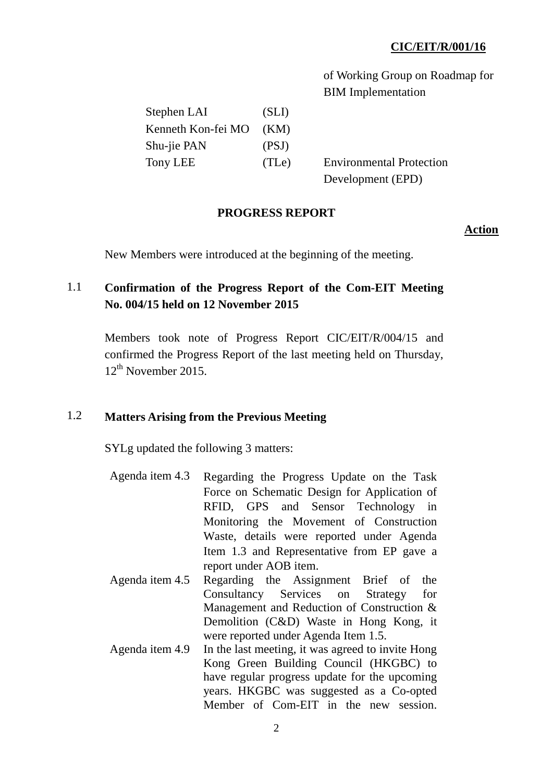of Working Group on Roadmap for BIM Implementation

| (SLI)              |
|--------------------|
| (KM)               |
| (PSJ)              |
| (T <sub>Le</sub> ) |
|                    |

**Environmental Protection** Development (EPD)

#### **PROGRESS REPORT**

#### **Action**

New Members were introduced at the beginning of the meeting.

# 1.1 **Confirmation of the Progress Report of the Com-EIT Meeting No. 004/15 held on 12 November 2015**

Members took note of Progress Report CIC/EIT/R/004/15 and confirmed the Progress Report of the last meeting held on Thursday,  $12^{th}$  November 2015.

## 1.2 **Matters Arising from the Previous Meeting**

SYLg updated the following 3 matters:

- Agenda item 4.3 Regarding the Progress Update on the Task Force on Schematic Design for Application of RFID, GPS and Sensor Technology in Monitoring the Movement of Construction Waste, details were reported under Agenda Item 1.3 and Representative from EP gave a report under AOB item.
- Agenda item 4.5 Regarding the Assignment Brief of the Consultancy Services on Strategy for Management and Reduction of Construction & Demolition (C&D) Waste in Hong Kong, it were reported under Agenda Item 1.5.
- Agenda item 4.9 In the last meeting, it was agreed to invite Hong Kong Green Building Council (HKGBC) to have regular progress update for the upcoming years. HKGBC was suggested as a Co-opted Member of Com-EIT in the new session.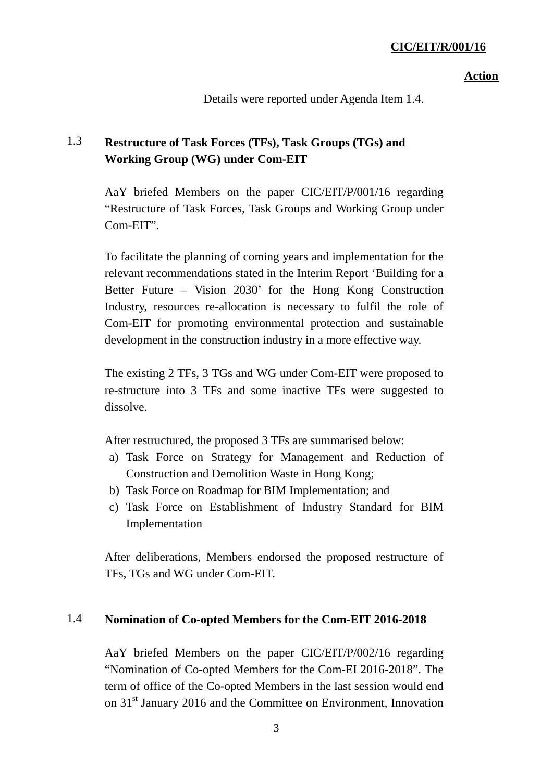#### **Action**

Details were reported under Agenda Item 1.4.

# 1.3 **Restructure of Task Forces (TFs), Task Groups (TGs) and Working Group (WG) under Com-EIT**

AaY briefed Members on the paper CIC/EIT/P/001/16 regarding "Restructure of Task Forces, Task Groups and Working Group under Com-EIT".

To facilitate the planning of coming years and implementation for the relevant recommendations stated in the Interim Report 'Building for a Better Future – Vision 2030' for the Hong Kong Construction Industry, resources re-allocation is necessary to fulfil the role of Com-EIT for promoting environmental protection and sustainable development in the construction industry in a more effective way.

The existing 2 TFs, 3 TGs and WG under Com-EIT were proposed to re-structure into 3 TFs and some inactive TFs were suggested to dissolve.

After restructured, the proposed 3 TFs are summarised below:

- a) Task Force on Strategy for Management and Reduction of Construction and Demolition Waste in Hong Kong;
- b) Task Force on Roadmap for BIM Implementation; and
- c) Task Force on Establishment of Industry Standard for BIM Implementation

After deliberations, Members endorsed the proposed restructure of TFs, TGs and WG under Com-EIT.

## 1.4 **Nomination of Co-opted Members for the Com-EIT 2016-2018**

AaY briefed Members on the paper CIC/EIT/P/002/16 regarding "Nomination of Co-opted Members for the Com-EI 2016-2018". The term of office of the Co-opted Members in the last session would end on 31<sup>st</sup> January 2016 and the Committee on Environment, Innovation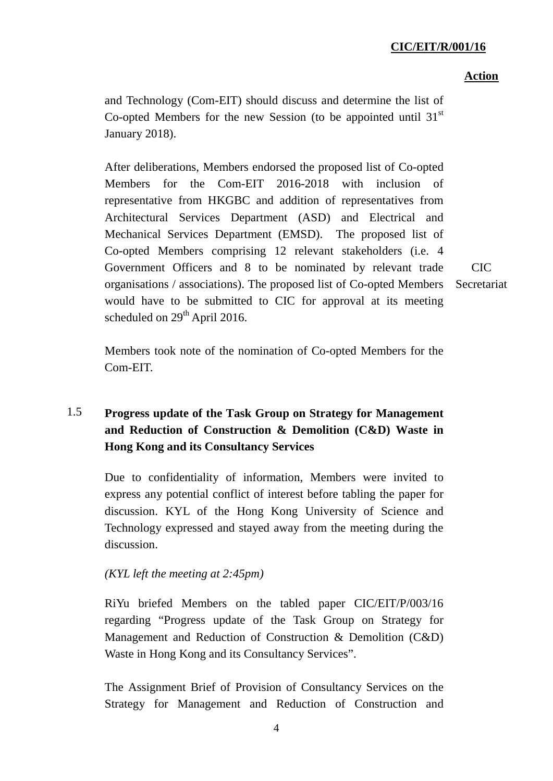## **Action**

and Technology (Com-EIT) should discuss and determine the list of Co-opted Members for the new Session (to be appointed until  $31<sup>st</sup>$ January 2018).

After deliberations, Members endorsed the proposed list of Co-opted Members for the Com-EIT 2016-2018 with inclusion of representative from HKGBC and addition of representatives from Architectural Services Department (ASD) and Electrical and Mechanical Services Department (EMSD). The proposed list of Co-opted Members comprising 12 relevant stakeholders (i.e. 4 Government Officers and 8 to be nominated by relevant trade organisations / associations). The proposed list of Co-opted Members would have to be submitted to CIC for approval at its meeting scheduled on  $29<sup>th</sup>$  April 2016.

CIC Secretariat

Members took note of the nomination of Co-opted Members for the Com-EIT.

# 1.5 **Progress update of the Task Group on Strategy for Management and Reduction of Construction & Demolition (C&D) Waste in Hong Kong and its Consultancy Services**

Due to confidentiality of information, Members were invited to express any potential conflict of interest before tabling the paper for discussion. KYL of the Hong Kong University of Science and Technology expressed and stayed away from the meeting during the discussion.

## *(KYL left the meeting at 2:45pm)*

RiYu briefed Members on the tabled paper CIC/EIT/P/003/16 regarding "Progress update of the Task Group on Strategy for Management and Reduction of Construction & Demolition (C&D) Waste in Hong Kong and its Consultancy Services".

The Assignment Brief of Provision of Consultancy Services on the Strategy for Management and Reduction of Construction and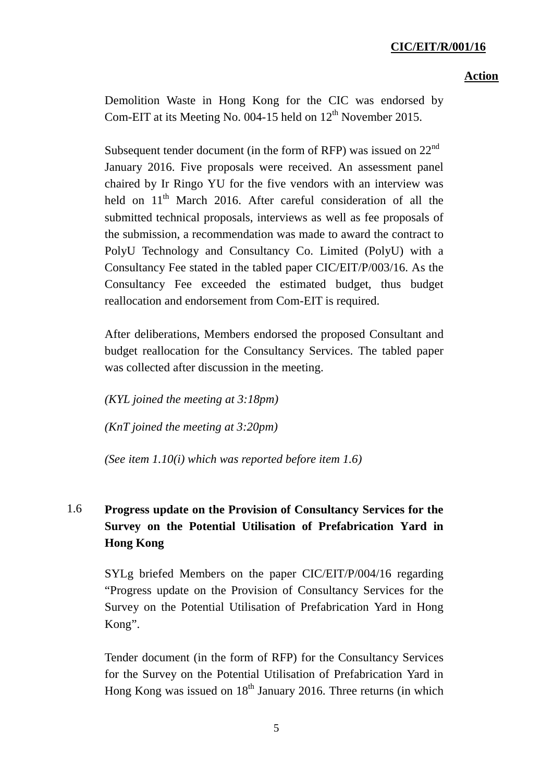Demolition Waste in Hong Kong for the CIC was endorsed by Com-EIT at its Meeting No. 004-15 held on  $12^{th}$  November 2015.

Subsequent tender document (in the form of RFP) was issued on  $22<sup>nd</sup>$ January 2016. Five proposals were received. An assessment panel chaired by Ir Ringo YU for the five vendors with an interview was held on 11<sup>th</sup> March 2016. After careful consideration of all the submitted technical proposals, interviews as well as fee proposals of the submission, a recommendation was made to award the contract to PolyU Technology and Consultancy Co. Limited (PolyU) with a Consultancy Fee stated in the tabled paper CIC/EIT/P/003/16. As the Consultancy Fee exceeded the estimated budget, thus budget reallocation and endorsement from Com-EIT is required.

After deliberations, Members endorsed the proposed Consultant and budget reallocation for the Consultancy Services. The tabled paper was collected after discussion in the meeting.

*(KYL joined the meeting at 3:18pm)*

*(KnT joined the meeting at 3:20pm)*

*(See item 1.10(i) which was reported before item 1.6)*

# 1.6 **Progress update on the Provision of Consultancy Services for the Survey on the Potential Utilisation of Prefabrication Yard in Hong Kong**

SYLg briefed Members on the paper CIC/EIT/P/004/16 regarding "Progress update on the Provision of Consultancy Services for the Survey on the Potential Utilisation of Prefabrication Yard in Hong Kong".

Tender document (in the form of RFP) for the Consultancy Services for the Survey on the Potential Utilisation of Prefabrication Yard in Hong Kong was issued on  $18<sup>th</sup>$  January 2016. Three returns (in which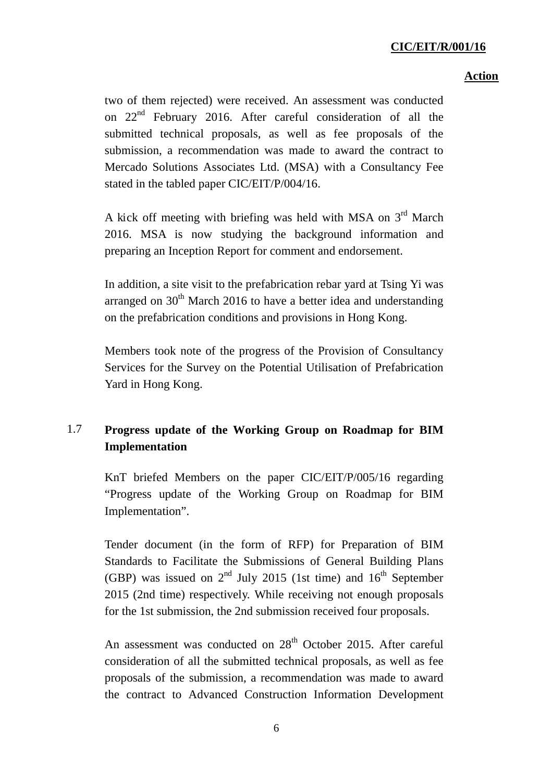### **Action**

two of them rejected) were received. An assessment was conducted on 22<sup>nd</sup> February 2016. After careful consideration of all the submitted technical proposals, as well as fee proposals of the submission, a recommendation was made to award the contract to Mercado Solutions Associates Ltd. (MSA) with a Consultancy Fee stated in the tabled paper CIC/EIT/P/004/16.

A kick off meeting with briefing was held with MSA on  $3<sup>rd</sup>$  March 2016. MSA is now studying the background information and preparing an Inception Report for comment and endorsement.

In addition, a site visit to the prefabrication rebar yard at Tsing Yi was arranged on  $30<sup>th</sup>$  March 2016 to have a better idea and understanding on the prefabrication conditions and provisions in Hong Kong.

Members took note of the progress of the Provision of Consultancy Services for the Survey on the Potential Utilisation of Prefabrication Yard in Hong Kong.

# 1.7 **Progress update of the Working Group on Roadmap for BIM Implementation**

KnT briefed Members on the paper CIC/EIT/P/005/16 regarding "Progress update of the Working Group on Roadmap for BIM Implementation".

Tender document (in the form of RFP) for Preparation of BIM Standards to Facilitate the Submissions of General Building Plans (GBP) was issued on  $2<sup>nd</sup>$  July 2015 (1st time) and  $16<sup>th</sup>$  September 2015 (2nd time) respectively. While receiving not enough proposals for the 1st submission, the 2nd submission received four proposals.

An assessment was conducted on  $28<sup>th</sup>$  October 2015. After careful consideration of all the submitted technical proposals, as well as fee proposals of the submission, a recommendation was made to award the contract to Advanced Construction Information Development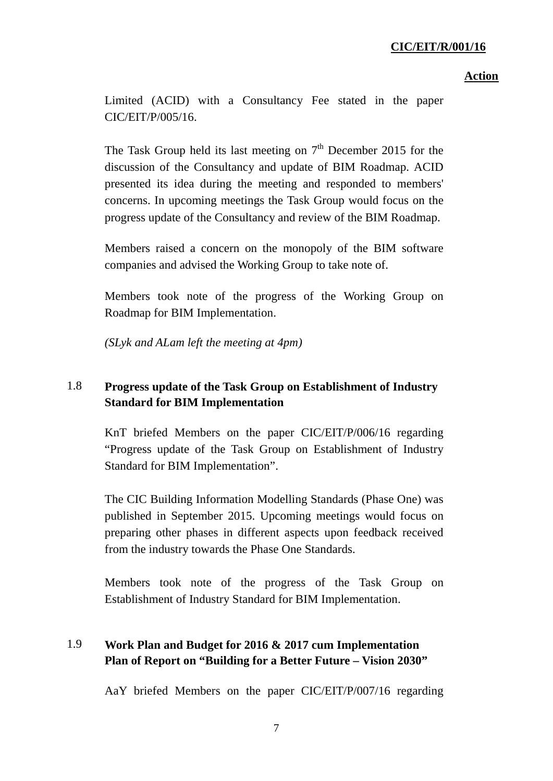**Action**

Limited (ACID) with a Consultancy Fee stated in the paper CIC/EIT/P/005/16.

The Task Group held its last meeting on  $7<sup>th</sup>$  December 2015 for the discussion of the Consultancy and update of BIM Roadmap. ACID presented its idea during the meeting and responded to members' concerns. In upcoming meetings the Task Group would focus on the progress update of the Consultancy and review of the BIM Roadmap.

Members raised a concern on the monopoly of the BIM software companies and advised the Working Group to take note of.

Members took note of the progress of the Working Group on Roadmap for BIM Implementation.

*(SLyk and ALam left the meeting at 4pm)*

## 1.8 **Progress update of the Task Group on Establishment of Industry Standard for BIM Implementation**

KnT briefed Members on the paper CIC/EIT/P/006/16 regarding "Progress update of the Task Group on Establishment of Industry Standard for BIM Implementation".

The CIC Building Information Modelling Standards (Phase One) was published in September 2015. Upcoming meetings would focus on preparing other phases in different aspects upon feedback received from the industry towards the Phase One Standards.

Members took note of the progress of the Task Group on Establishment of Industry Standard for BIM Implementation.

# 1.9 **Work Plan and Budget for 2016 & 2017 cum Implementation Plan of Report on "Building for a Better Future – Vision 2030"**

AaY briefed Members on the paper CIC/EIT/P/007/16 regarding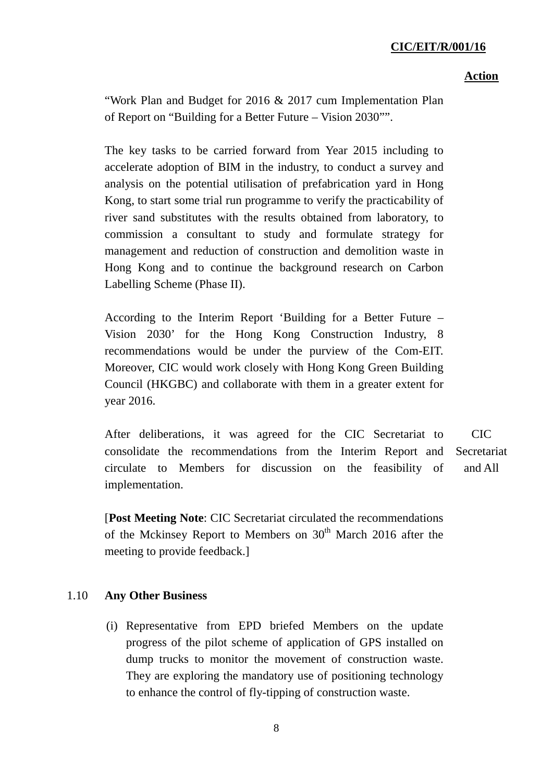#### **Action**

"Work Plan and Budget for 2016 & 2017 cum Implementation Plan of Report on "Building for a Better Future – Vision 2030"".

The key tasks to be carried forward from Year 2015 including to accelerate adoption of BIM in the industry, to conduct a survey and analysis on the potential utilisation of prefabrication yard in Hong Kong, to start some trial run programme to verify the practicability of river sand substitutes with the results obtained from laboratory, to commission a consultant to study and formulate strategy for management and reduction of construction and demolition waste in Hong Kong and to continue the background research on Carbon Labelling Scheme (Phase II).

According to the Interim Report 'Building for a Better Future – Vision 2030' for the Hong Kong Construction Industry, 8 recommendations would be under the purview of the Com-EIT. Moreover, CIC would work closely with Hong Kong Green Building Council (HKGBC) and collaborate with them in a greater extent for year 2016.

After deliberations, it was agreed for the CIC Secretariat to consolidate the recommendations from the Interim Report and circulate to Members for discussion on the feasibility of implementation. CIC **Secretariat** and All

[**Post Meeting Note**: CIC Secretariat circulated the recommendations of the Mckinsey Report to Members on  $30<sup>th</sup>$  March 2016 after the meeting to provide feedback.]

#### 1.10 **Any Other Business**

(i) Representative from EPD briefed Members on the update progress of the pilot scheme of application of GPS installed on dump trucks to monitor the movement of construction waste. They are exploring the mandatory use of positioning technology to enhance the control of fly-tipping of construction waste.